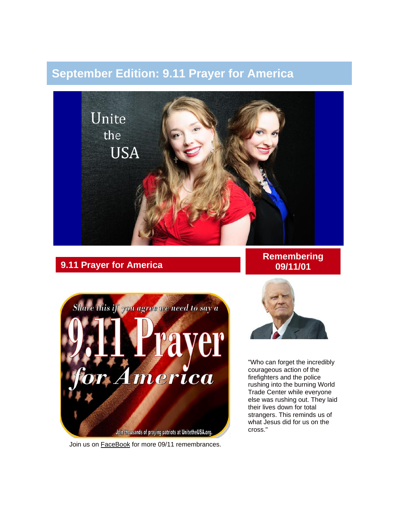# **September Edition: 9.11 Prayer for America**



# **9.11 Prayer for America**



Join us on **[FaceBook](https://www.facebook.com/pages/Unite-the-USA/200053406703556)** for more 09/11 remembrances.

### **Remembering 09/11/01**



"Who can forget the incredibly courageous action of the firefighters and the police rushing into the burning World Trade Center while everyone else was rushing out. They laid their lives down for total strangers. This reminds us of what Jesus did for us on the cross."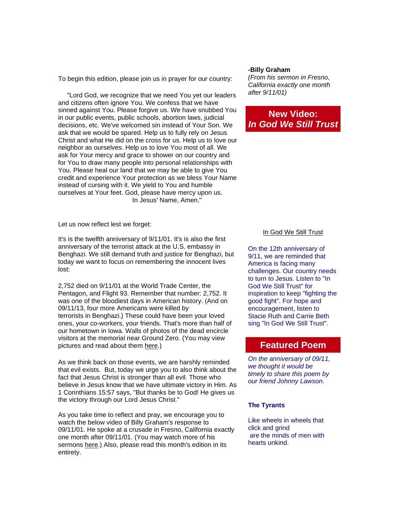To begin this edition, please join us in prayer for our country:

 "Lord God, we recognize that we need You yet our leaders and citizens often ignore You. We confess that we have sinned against You. Please forgive us. We have snubbed You in our public events, public schools, abortion laws, judicial decisions, etc. We've welcomed sin instead of Your Son. We ask that we would be spared. Help us to fully rely on Jesus Christ and what He did on the cross for us. Help us to love our neighbor as ourselves. Help us to love You most of all. We ask for Your mercy and grace to shower on our country and for You to draw many people into personal relationships with You. Please heal our land that we may be able to give You credit and experience Your protection as we bless Your Name instead of cursing with it. We yield to You and humble ourselves at Your feet. God, please have mercy upon us. In Jesus' Name, Amen."

Let us now reflect lest we forget:

It's is the twelfth anniversary of 9/11/01. It's is also the first anniversary of the terrorist attack at the U.S. embassy in Benghazi. We still demand truth and justice for Benghazi, but today we want to focus on remembering the innocent lives lost:

2,752 died on 9/11/01 at the World Trade Center, the Pentagon, and Flight 93. Remember that number: 2,752. It was one of the bloodiest days in American history. (And on 09/11/13, four more Americans were killed by terrorists in Benghazi.) These could have been your loved ones, your co-workers, your friends. That's more than half of our hometown in Iowa. Walls of photos of the dead encircle visitors at the memorial near Ground Zero. (You may view pictures and read about them [here.](http://www.tributewtc.org/exhibits/gallery4.php))

As we think back on those events, we are harshly reminded that evil exists. But, today we urge you to also think about the fact that Jesus Christ is stronger than all evil. Those who believe in Jesus know that we have ultimate victory in Him. As 1 Corinthians 15:57 says, "But thanks be to God! He gives us the victory through our Lord Jesus Christ."

As you take time to reflect and pray, we encourage you to watch the below video of Billy Graham's response to 09/11/01. He spoke at a crusade in Fresno, California exactly one month after 09/11/01. (You may watch more of his sermons [here.](http://billygraham.1mobb.com/1291140415.php)) Also, please read this month's edition in its entirety.

#### **-Billy Graham**

*(From his sermon in Fresno, California exactly one month after 9/11/01)*

# **New Video:** *In God We Still Trust*

#### [In God We Still Trust](http://www.youtube.com/watch?v=AJpSmePSi3c)

On the 12th anniversary of 9/11, we are reminded that America is facing many challenges. Our country needs to turn to Jesus. Listen to "In God We Still Trust" for inspiration to keep "fighting the good fight". For hope and encouragement, listen to Stacie Ruth and Carrie Beth sing "In God We Still Trust".

### **Featured Poem**

*On the anniversary of 09/11, we thought it would be timely to share this poem by our friend Johnny Lawson.*

#### **The Tyrants**

Like wheels in wheels that click and grind are the minds of men with hearts unkind.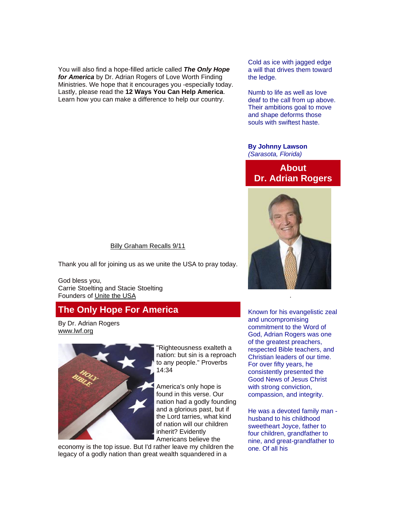You will also find a hope-filled article called *The Only Hope for America* by Dr. Adrian Rogers of Love Worth Finding Ministries. We hope that it encourages you -especially today. Lastly, please read the **12 Ways You Can Help America**. Learn how you can make a difference to help our country.

Cold as ice with jagged edge a will that drives them toward the ledge.

Numb to life as well as love deaf to the call from up above. Their ambitions goal to move and shape deforms those souls with swiftest haste.

#### **By Johnny Lawson** *(Sarasota, Florida)*

# **About Dr. Adrian Rogers**



### [Billy Graham Recalls 9/11](http://www.youtube.com/watch?v=jJ3hTOn5AbI)

Thank you all for joining us as we unite the USA to pray today.

God bless you, Carrie Stoelting and Stacie Stoelting Founders of [Unite the USA](http://unitetheusa.org/index.html) 

# **The Only Hope For America**

By Dr. Adrian Rogers [www.lwf.org](http://www.lwf.org/)



"Righteousness exalteth a nation: but sin is a reproach to any people." Proverbs 14:34

America's only hope is found in this verse. Our nation had a godly founding and a glorious past, but if the Lord tarries, what kind of nation will our children inherit? Evidently Americans believe the

economy is the top issue. But I'd rather leave my children the legacy of a godly nation than great wealth squandered in a

Known for his evangelistic zeal and uncompromising commitment to the Word of God, Adrian Rogers was one of the greatest preachers, respected Bible teachers, and Christian leaders of our time. For over fifty years, he consistently presented the Good News of Jesus Christ with strong conviction, compassion, and integrity.

He was a devoted family man husband to his childhood sweetheart Joyce, father to four children, grandfather to nine, and great-grandfather to one. Of all his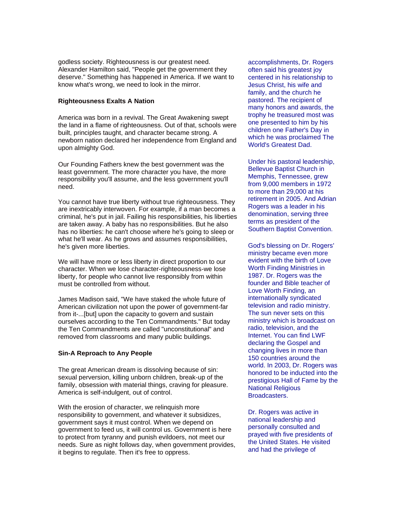godless society. Righteousness is our greatest need. Alexander Hamilton said, "People get the government they deserve." Something has happened in America. If we want to know what's wrong, we need to look in the mirror.

#### **Righteousness Exalts A Nation**

America was born in a revival. The Great Awakening swept the land in a flame of righteousness. Out of that, schools were built, principles taught, and character became strong. A newborn nation declared her independence from England and upon almighty God.

Our Founding Fathers knew the best government was the least government. The more character you have, the more responsibility you'll assume, and the less government you'll need.

You cannot have true liberty without true righteousness. They are inextricably interwoven. For example, if a man becomes a criminal, he's put in jail. Failing his responsibilities, his liberties are taken away. A baby has no responsibilities. But he also has no liberties: he can't choose where he's going to sleep or what he'll wear. As he grows and assumes responsibilities, he's given more liberties.

We will have more or less liberty in direct proportion to our character. When we lose character-righteousness-we lose liberty, for people who cannot live responsibly from within must be controlled from without.

James Madison said, "We have staked the whole future of American civilization not upon the power of government-far from it-...[but] upon the capacity to govern and sustain ourselves according to the Ten Commandments." But today the Ten Commandments are called "unconstitutional" and removed from classrooms and many public buildings.

#### **Sin-A Reproach to Any People**

The great American dream is dissolving because of sin: sexual perversion, killing unborn children, break-up of the family, obsession with material things, craving for pleasure. America is self-indulgent, out of control.

With the erosion of character, we relinquish more responsibility to government, and whatever it subsidizes, government says it must control. When we depend on government to feed us, it will control us. Government is here to protect from tyranny and punish evildoers, not meet our needs. Sure as night follows day, when government provides, it begins to regulate. Then it's free to oppress.

accomplishments, Dr. Rogers often said his greatest joy centered in his relationship to Jesus Christ, his wife and family, and the church he pastored. The recipient of many honors and awards, the trophy he treasured most was one presented to him by his children one Father's Day in which he was proclaimed The World's Greatest Dad.

Under his pastoral leadership, Bellevue Baptist Church in Memphis, Tennessee, grew from 9,000 members in 1972 to more than 29,000 at his retirement in 2005. And Adrian Rogers was a leader in his denomination, serving three terms as president of the Southern Baptist Convention.

God's blessing on Dr. Rogers' ministry became even more evident with the birth of Love Worth Finding Ministries in 1987. Dr. Rogers was the founder and Bible teacher of Love Worth Finding, an internationally syndicated television and radio ministry. The sun never sets on this ministry which is broadcast on radio, television, and the Internet. You can find LWF declaring the Gospel and changing lives in more than 150 countries around the world. In 2003, Dr. Rogers was honored to be inducted into the prestigious Hall of Fame by the National Religious Broadcasters.

Dr. Rogers was active in national leadership and personally consulted and prayed with five presidents of the United States. He visited and had the privilege of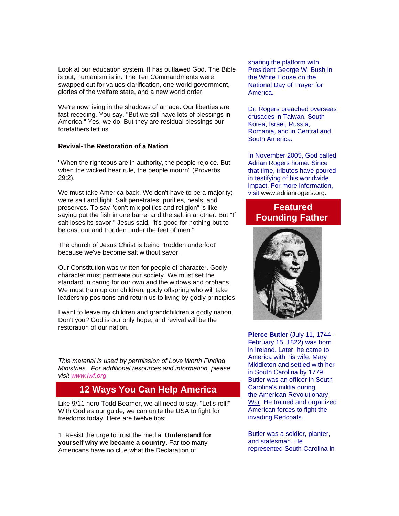Look at our education system. It has outlawed God. The Bible is out; humanism is in. The Ten Commandments were swapped out for values clarification, one-world government, glories of the welfare state, and a new world order.

We're now living in the shadows of an age. Our liberties are fast receding. You say, "But we still have lots of blessings in America." Yes, we do. But they are residual blessings our forefathers left us.

#### **Revival-The Restoration of a Nation**

"When the righteous are in authority, the people rejoice. But when the wicked bear rule, the people mourn" (Proverbs 29:2).

We must take America back. We don't have to be a majority; we're salt and light. Salt penetrates, purifies, heals, and preserves. To say "don't mix politics and religion" is like saying put the fish in one barrel and the salt in another. But "If salt loses its savor," Jesus said, "it's good for nothing but to be cast out and trodden under the feet of men."

The church of Jesus Christ is being "trodden underfoot" because we've become salt without savor.

Our Constitution was written for people of character. Godly character must permeate our society. We must set the standard in caring for our own and the widows and orphans. We must train up our children, godly offspring who will take leadership positions and return us to living by godly principles.

I want to leave my children and grandchildren a godly nation. Don't you? God is our only hope, and revival will be the restoration of our nation.

*This material is used by permission of Love Worth Finding Ministries. For additional resources and information, please visit [www.lwf.org](http://r20.rs6.net/tn.jsp?e=001643FlfdiTy4J2nExZOTXH9NXJjXmP7HzVCsV5-UiSu-53jSVs4_M6FMdocBW8Dr2GF0wy6OGO6BER1R7nxo2j3vYd2PNX4Qd)*

# **12 Ways You Can Help America**

Like 9/11 hero Todd Beamer, we all need to say, "Let's roll!" With God as our guide, we can unite the USA to fight for freedoms today! Here are twelve tips:

1. Resist the urge to trust the media. **Understand for yourself why we became a country.** Far too many Americans have no clue what the Declaration of

sharing the platform with President George W. Bush in the White House on the National Day of Prayer for America.

Dr. Rogers preached overseas crusades in Taiwan, South Korea, Israel, Russia, Romania, and in Central and South America.

In November 2005, God called Adrian Rogers home. Since that time, tributes have poured in testifying of his worldwide impact. For more information, visit [www.adrianrogers.org.](http://www.adrianrogers.org./)

# **Featured Founding Father**



**Pierce Butler** (July 11, 1744 - February 15, 1822) was born in Ireland. Later, he came to America with his wife, Mary Middleton and settled with her in South Carolina by 1779. Butler was an officer in South Carolina's militia during the [American Revolutionary](http://unitetheusa.org/id102.html)  [War.](http://unitetheusa.org/id102.html) He trained and organized American forces to fight the invading Redcoats.

Butler was a soldier, planter, and statesman. He represented South Carolina in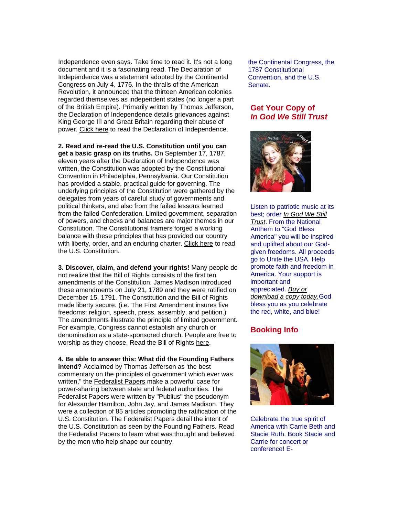Independence even says. Take time to read it. It's not a long document and it is a fascinating read. The Declaration of Independence was a statement adopted by the Continental Congress on July 4, 1776. In the thralls of the American Revolution, it announced that the thirteen American colonies regarded themselves as independent states (no longer a part of the British Empire). Primarily written by Thomas Jefferson, the Declaration of Independence details grievances against King George III and Great Britain regarding their abuse of power. [Click here](http://www.wallbuilders.com/LIBissuesArticles.asp?id=25685) to read the Declaration of Independence.

**2. Read and re-read the U.S. Constitution until you can get a basic grasp on its truths.** On September 17, 1787, eleven years after the Declaration of Independence was written, the Constitution was adopted by the Constitutional Convention in Philadelphia, Pennsylvania. Our Constitution has provided a stable, practical guide for governing. The underlying principles of the Constitution were gathered by the delegates from years of careful study of governments and political thinkers, and also from the failed lessons learned from the failed Confederation. Limited government, separation of powers, and checks and balances are major themes in our Constitution. The Constitutional framers forged a working balance with these principles that has provided our country with liberty, order, and an enduring charter. [Click here](http://r20.rs6.net/tn.jsp?e=001643FlfdiTy4J2nExZOTXH9NXJjXmP7HzVCsV5-UiSu-53jSVs4_M6FMdocBW8Dr2GF0wy6OGO6AyV8I5LSY105Cn9yd3fs0Sd5lFVA7J1kX8XWUVYw2Df_xhDioHiSnJz3x5A3_QAsmyFS27v_FF1qd83GrR8txv) to read the U.S. Constitution.

**3. Discover, claim, and defend your rights!** Many people do not realize that the Bill of Rights consists of the first ten amendments of the Constitution. James Madison introduced these amendments on July 21, 1789 and they were ratified on December 15, 1791. The Constitution and the Bill of Rights made liberty secure. (i.e. The First Amendment insures five freedoms: religion, speech, press, assembly, and petition.) The amendments illustrate the principle of limited government. For example, Congress cannot establish any church or denomination as a state-sponsored church. People are free to worship as they choose. Read the Bill of Rights [here.](http://www.archives.gov/exhibits/charters/bill_of_rights_transcript.html)

**4. Be able to answer this: What did the Founding Fathers intend?** Acclaimed by Thomas Jefferson as 'the best commentary on the principles of government which ever was written," the [Federalist Papers](http://thomas.loc.gov/home/histdox/fedpapers.html) make a powerful case for power-sharing between state and federal authorities. The Federalist Papers were written by "Publius" the pseudonym for Alexander Hamilton, John Jay, and James Madison. They were a collection of 85 articles promoting the ratification of the U.S. Constitution. The Federalist Papers detail the intent of the U.S. Constitution as seen by the Founding Fathers. Read the Federalist Papers to learn what was thought and believed by the men who help shape our country.

the Continental Congress, the 1787 Constitutional Convention, and the U.S. Senate.

### **Get Your Copy of** *In God We Still Trust*



Listen to patriotic music at its best; order *[In God We Still](http://unitetheusa.org/id56.html)  [Trust](http://unitetheusa.org/id56.html)*. From the National Anthem to "God Bless America" you will be inspired and uplifted about our Godgiven freedoms. All proceeds go to Unite the USA. Help promote faith and freedom in America. Your support is important and appreciated. *[Buy or](http://unitetheusa.org/id56.html)  [download a copy today.](http://unitetheusa.org/id56.html)*God bless you as you celebrate the red, white, and blue!

### **Booking Info**



Celebrate the true spirit of America with Carrie Beth and Stacie Ruth. Book Stacie and Carrie for concert or conference! E-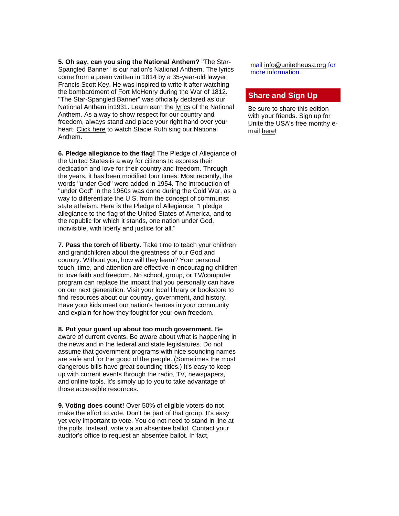**5. Oh say, can you sing the National Anthem?** "The Star-Spangled Banner" is our nation's National Anthem. The lyrics come from a poem written in 1814 by a 35-year-old lawyer, Francis Scott Key. He was inspired to write it after watching the bombardment of Fort McHenry during the War of 1812. "The Star-Spangled Banner" was officially declared as our National Anthem in1931. Learn earn the [lyrics](http://en.wikipedia.org/wiki/The_Star-Spangled_Banner#Lyrics) of the National Anthem. As a way to show respect for our country and freedom, always stand and place your right hand over your heart. [Click here](http://www.youtube.com/watch?v=Nr7cYMYD944) to watch Stacie Ruth sing our National Anthem.

**6. Pledge allegiance to the flag!** The Pledge of Allegiance of the United States is a way for citizens to express their dedication and love for their country and freedom. Through the years, it has been modified four times. Most recently, the words "under God" were added in 1954. The introduction of "under God" in the 1950s was done during the Cold War, as a way to differentiate the U.S. from the concept of communist state atheism. Here is the Pledge of Allegiance: "I pledge allegiance to the flag of the United States of America, and to the republic for which it stands, one nation under God, indivisible, with liberty and justice for all."

**7. Pass the torch of liberty.** Take time to teach your children and grandchildren about the greatness of our God and country. Without you, how will they learn? Your personal touch, time, and attention are effective in encouraging children to love faith and freedom. No school, group, or TV/computer program can replace the impact that you personally can have on our next generation. Visit your local library or bookstore to find resources about our country, government, and history. Have your kids meet our nation's heroes in your community and explain for how they fought for your own freedom.

**8. Put your guard up about too much government.** Be aware of current events. Be aware about what is happening in

the news and in the federal and state legislatures. Do not assume that government programs with nice sounding names are safe and for the good of the people. (Sometimes the most dangerous bills have great sounding titles.) It's easy to keep up with current events through the radio, TV, newspapers, and online tools. It's simply up to you to take advantage of those accessible resources.

**9. Voting does count!** Over 50% of eligible voters do not make the effort to vote. Don't be part of that group. It's easy yet very important to vote. You do not need to stand in line at the polls. Instead, vote via an absentee ballot. Contact your auditor's office to request an absentee ballot. In fact,

mail [info@unitetheusa.org](mailto:info@unitetheusa.org) for more information.

### **Share and Sign Up**

Be sure to share this edition with your friends. Sign up for Unite the USA's free monthy email [here!](http://unitetheusa.org/id2.html)